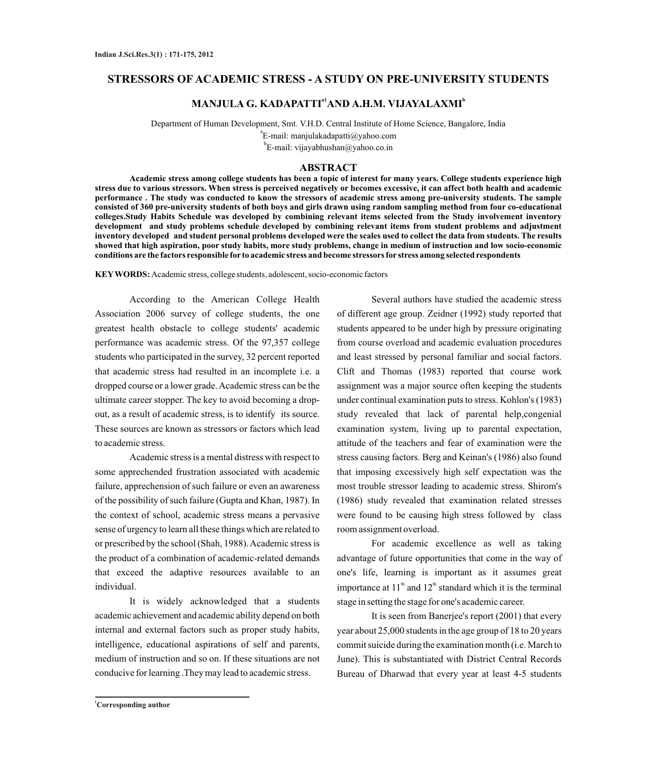# **STRESSORS OF ACADEMIC STRESS - A STUDY ON PRE-UNIVERSITY STUDENTS**

# **a1 <sup>b</sup> MANJULA G. KADAPATTI AND A.H.M. VIJAYALAXMI**

Department of Human Development, Smt. V.H.D. Central Institute of Home Science, Bangalore, India a E-mail: manjulakadapatti@yahoo.com

<sup>b</sup>E-mail: vijayabhushan@yahoo.co.in

#### **ABSTRACT**

**Academic stress among college students has been a topic of interest for many years. College students experience high stress due to various stressors. When stress is perceived negatively or becomes excessive, it can affect both health and academic performance . The study was conducted to know the stressors of academic stress among pre-university students. The sample consisted of 360 pre-university students of both boys and girls drawn using random sampling method from four co-educational colleges.Study Habits Schedule was developed by combining relevant items selected from the Study involvement inventory development and study problems schedule developed by combining relevant items from student problems and adjustment inventory developed and student personal problems developed were the scales used to collect the data from students. The results showed that high aspiration, poor study habits, more study problems, change in medium of instruction and low socio-economic conditions are the factors responsible for to academic stress and become stressors for stress among selected respondents** 

**KEYWORDS:** Academic stress, college students, adolescent, socio-economic factors

According to the American College Health Association 2006 survey of college students, the one greatest health obstacle to college students' academic performance was academic stress. Of the 97,357 college students who participated in the survey, 32 percent reported that academic stress had resulted in an incomplete i.e. a dropped course or a lower grade. Academic stress can be the ultimate career stopper. The key to avoid becoming a dropout, as a result of academic stress, is to identify its source. These sources are known as stressors or factors which lead to academic stress.

Academic stress is a mental distress with respect to some apprechended frustration associated with academic failure, apprechension of such failure or even an awareness of the possibility of such failure (Gupta and Khan, 1987). In the context of school, academic stress means a pervasive sense of urgency to learn all these things which are related to or prescribed by the school (Shah, 1988). Academic stress is the product of a combination of academic-related demands that exceed the adaptive resources available to an individual.

It is widely acknowledged that a students academic achievement and academic ability depend on both internal and external factors such as proper study habits, intelligence, educational aspirations of self and parents, medium of instruction and so on. If these situations are not conducive for learning .They may lead to academic stress.

Several authors have studied the academic stress of different age group. Zeidner (1992) study reported that students appeared to be under high by pressure originating from course overload and academic evaluation procedures and least stressed by personal familiar and social factors. Clift and Thomas (1983) reported that course work assignment was a major source often keeping the students under continual examination puts to stress. Kohlon's (1983) study revealed that lack of parental help,congenial examination system, living up to parental expectation, attitude of the teachers and fear of examination were the stress causing factors. Berg and Keinan's (1986) also found that imposing excessively high self expectation was the most trouble stressor leading to academic stress. Shirom's (1986) study revealed that examination related stresses were found to be causing high stress followed by class room assignment overload.

For academic excellence as well as taking advantage of future opportunities that come in the way of one's life, learning is important as it assumes great importance at  $11<sup>th</sup>$  and  $12<sup>th</sup>$  standard which it is the terminal stage in setting the stage for one's academic career.

It is seen from Banerjee's report (2001) that every year about 25,000 students in the age group of 18 to 20 years commit suicide during the examination month (i.e. March to June). This is substantiated with District Central Records Bureau of Dharwad that every year at least 4-5 students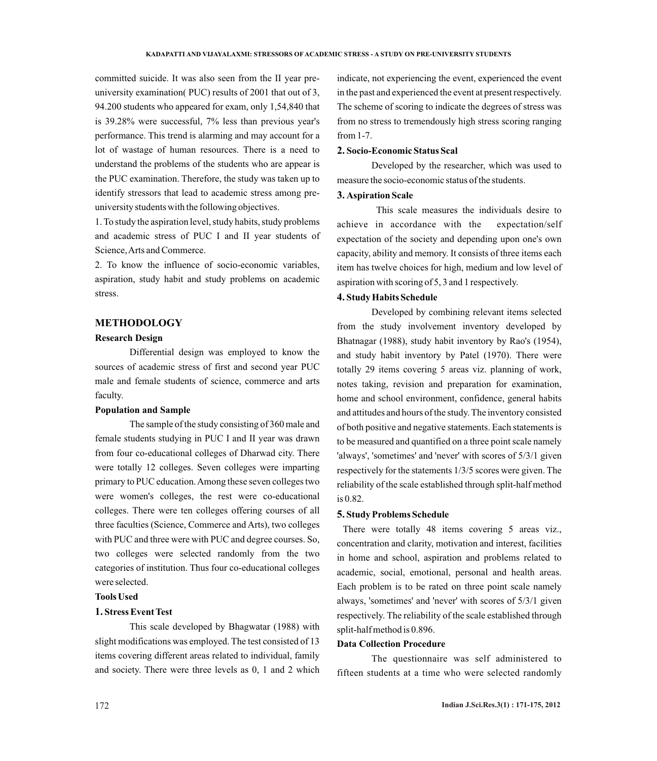committed suicide. It was also seen from the II year preuniversity examination( PUC) results of 2001 that out of 3, 94.200 students who appeared for exam, only 1,54,840 that is 39.28% were successful, 7% less than previous year's performance. This trend is alarming and may account for a lot of wastage of human resources. There is a need to understand the problems of the students who are appear is the PUC examination. Therefore, the study was taken up to identify stressors that lead to academic stress among preuniversity students with the following objectives.

1. To study the aspiration level, study habits, study problems and academic stress of PUC I and II year students of Science, Arts and Commerce.

2. To know the influence of socio-economic variables, aspiration, study habit and study problems on academic stress.

### **METHODOLOGY**

#### **Research Design**

Differential design was employed to know the sources of academic stress of first and second year PUC male and female students of science, commerce and arts faculty.

#### **Population and Sample**

The sample of the study consisting of 360 male and female students studying in PUC I and II year was drawn from four co-educational colleges of Dharwad city. There were totally 12 colleges. Seven colleges were imparting primary to PUC education. Among these seven colleges two were women's colleges, the rest were co-educational colleges. There were ten colleges offering courses of all three faculties (Science, Commerce and Arts), two colleges with PUC and three were with PUC and degree courses. So, two colleges were selected randomly from the two categories of institution. Thus four co-educational colleges were selected.

## **Tools Used**

### **1. Stress Event Test**

This scale developed by Bhagwatar (1988) with slight modifications was employed. The test consisted of 13 items covering different areas related to individual, family and society. There were three levels as 0, 1 and 2 which indicate, not experiencing the event, experienced the event in the past and experienced the event at present respectively. The scheme of scoring to indicate the degrees of stress was from no stress to tremendously high stress scoring ranging from 1-7.

#### **2. Socio-Economic Status Scal**

Developed by the researcher, which was used to measure the socio-economic status of the students.

### **3. Aspiration Scale**

This scale measures the individuals desire to achieve in accordance with the expectation/self expectation of the society and depending upon one's own capacity, ability and memory. It consists of three items each item has twelve choices for high, medium and low level of aspiration with scoring of 5, 3 and 1 respectively.

### **4. Study Habits Schedule**

Developed by combining relevant items selected from the study involvement inventory developed by Bhatnagar (1988), study habit inventory by Rao's (1954), and study habit inventory by Patel (1970). There were totally 29 items covering 5 areas viz. planning of work, notes taking, revision and preparation for examination, home and school environment, confidence, general habits and attitudes and hours of the study. The inventory consisted of both positive and negative statements. Each statements is to be measured and quantified on a three point scale namely 'always', 'sometimes' and 'never' with scores of 5/3/1 given respectively for the statements 1/3/5 scores were given. The reliability of the scale established through split-half method is 0.82.

#### **5. Study Problems Schedule**

There were totally 48 items covering 5 areas viz., concentration and clarity, motivation and interest, facilities in home and school, aspiration and problems related to academic, social, emotional, personal and health areas. Each problem is to be rated on three point scale namely always, 'sometimes' and 'never' with scores of 5/3/1 given respectively. The reliability of the scale established through split-half method is 0.896.

#### **Data Collection Procedure**

The questionnaire was self administered to fifteen students at a time who were selected randomly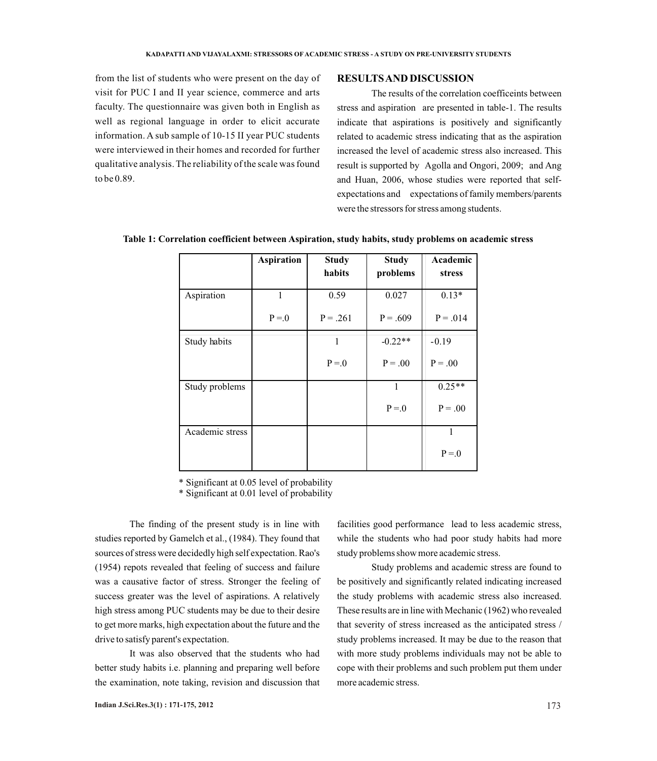from the list of students who were present on the day of visit for PUC I and II year science, commerce and arts faculty. The questionnaire was given both in English as well as regional language in order to elicit accurate information. A sub sample of 10-15 II year PUC students were interviewed in their homes and recorded for further qualitative analysis. The reliability of the scale was found to be 0.89.

#### **RESULTS AND DISCUSSION**

The results of the correlation coefficeints between stress and aspiration are presented in table-1. The results indicate that aspirations is positively and significantly related to academic stress indicating that as the aspiration increased the level of academic stress also increased. This result is supported by Agolla and Ongori, 2009; and Ang and Huan, 2006, whose studies were reported that selfexpectations and expectations of family members/parents were the stressors for stress among students.

|                 | <b>Aspiration</b> | <b>Study</b> | <b>Study</b> | Academic   |
|-----------------|-------------------|--------------|--------------|------------|
|                 |                   | habits       | problems     | stress     |
| Aspiration      | 1                 | 0.59         | 0.027        | $0.13*$    |
|                 | $P = 0$           | $P = .261$   | $P = .609$   | $P = .014$ |
| Study habits    |                   | 1            | $-0.22**$    | $-0.19$    |
|                 |                   | $P = 0$      | $P = .00$    | $P = .00$  |
| Study problems  |                   |              | $\mathbf{1}$ | $0.25**$   |
|                 |                   |              | $P = 0$      | $P = .00$  |
| Academic stress |                   |              |              |            |
|                 |                   |              |              | $P = 0$    |

**Table 1: Correlation coefficient between Aspiration, study habits, study problems on academic stress**

\* Significant at 0.05 level of probability

\* Significant at 0.01 level of probability

The finding of the present study is in line with studies reported by Gamelch et al., (1984). They found that sources of stress were decidedly high self expectation. Rao's (1954) repots revealed that feeling of success and failure was a causative factor of stress. Stronger the feeling of success greater was the level of aspirations. A relatively high stress among PUC students may be due to their desire to get more marks, high expectation about the future and the drive to satisfy parent's expectation.

It was also observed that the students who had better study habits i.e. planning and preparing well before the examination, note taking, revision and discussion that facilities good performance lead to less academic stress, while the students who had poor study habits had more study problems show more academic stress.

Study problems and academic stress are found to be positively and significantly related indicating increased the study problems with academic stress also increased. These results are in line with Mechanic (1962) who revealed that severity of stress increased as the anticipated stress / study problems increased. It may be due to the reason that with more study problems individuals may not be able to cope with their problems and such problem put them under more academic stress.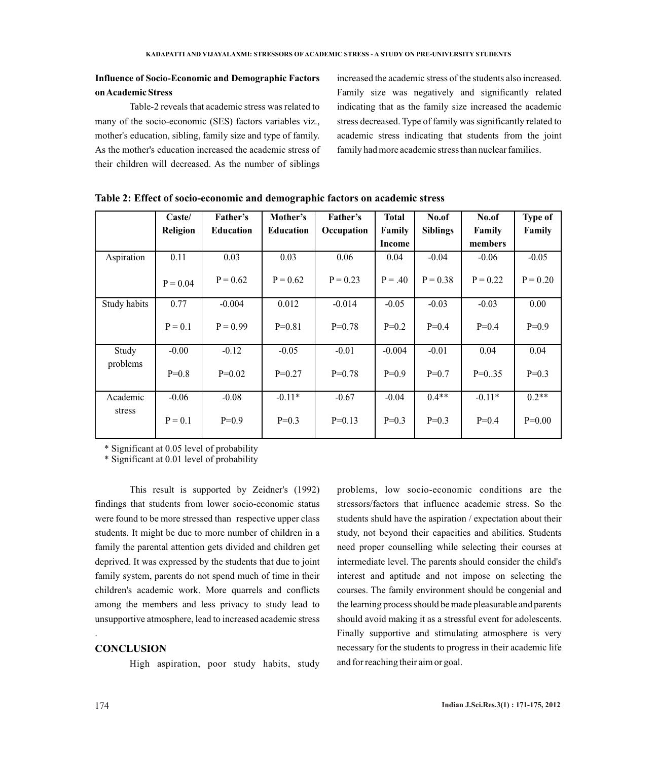# **Influence of Socio-Economic and Demographic Factors on Academic Stress**

Table-2 reveals that academic stress was related to many of the socio-economic (SES) factors variables viz., mother's education, sibling, family size and type of family. As the mother's education increased the academic stress of their children will decreased. As the number of siblings

increased the academic stress of the students also increased. Family size was negatively and significantly related indicating that as the family size increased the academic stress decreased. Type of family was significantly related to academic stress indicating that students from the joint family had more academic stress than nuclear families.

|                    | Caste/     | Father's         | Mother's         | Father's   | <b>Total</b> | No.of           | No.of      | <b>Type of</b> |
|--------------------|------------|------------------|------------------|------------|--------------|-----------------|------------|----------------|
|                    | Religion   | <b>Education</b> | <b>Education</b> | Occupation | Family       | <b>Siblings</b> | Family     | Family         |
|                    |            |                  |                  |            | Income       |                 | members    |                |
| Aspiration         | 0.11       | 0.03             | 0.03             | 0.06       | 0.04         | $-0.04$         | $-0.06$    | $-0.05$        |
|                    | $P = 0.04$ | $P = 0.62$       | $P = 0.62$       | $P = 0.23$ | $P = .40$    | $P = 0.38$      | $P = 0.22$ | $P = 0.20$     |
| Study habits       | 0.77       | $-0.004$         | 0.012            | $-0.014$   | $-0.05$      | $-0.03$         | $-0.03$    | 0.00           |
|                    | $P = 0.1$  | $P = 0.99$       | $P=0.81$         | $P=0.78$   | $P=0.2$      | $P=0.4$         | $P=0.4$    | $P=0.9$        |
| Study<br>problems  | $-0.00$    | $-0.12$          | $-0.05$          | $-0.01$    | $-0.004$     | $-0.01$         | 0.04       | 0.04           |
|                    | $P=0.8$    | $P=0.02$         | $P=0.27$         | $P=0.78$   | $P=0.9$      | $P=0.7$         | $P=0.35$   | $P=0.3$        |
| Academic<br>stress | $-0.06$    | $-0.08$          | $-0.11*$         | $-0.67$    | $-0.04$      | $0.4**$         | $-0.11*$   | $0.2**$        |
|                    | $P = 0.1$  | $P=0.9$          | $P=0.3$          | $P=0.13$   | $P=0.3$      | $P=0.3$         | $P=0.4$    | $P=0.00$       |

| Table 2: Effect of socio-economic and demographic factors on academic stress |  |  |
|------------------------------------------------------------------------------|--|--|
|                                                                              |  |  |

\* Significant at 0.05 level of probability

\* Significant at 0.01 level of probability

This result is supported by Zeidner's (1992) findings that students from lower socio-economic status were found to be more stressed than respective upper class students. It might be due to more number of children in a family the parental attention gets divided and children get deprived. It was expressed by the students that due to joint family system, parents do not spend much of time in their children's academic work. More quarrels and conflicts among the members and less privacy to study lead to unsupportive atmosphere, lead to increased academic stress

### **CONCLUSION**

High aspiration, poor study habits, study

problems, low socio-economic conditions are the stressors/factors that influence academic stress. So the students shuld have the aspiration / expectation about their study, not beyond their capacities and abilities. Students need proper counselling while selecting their courses at intermediate level. The parents should consider the child's interest and aptitude and not impose on selecting the courses. The family environment should be congenial and the learning process should be made pleasurable and parents should avoid making it as a stressful event for adolescents. Finally supportive and stimulating atmosphere is very necessary for the students to progress in their academic life and for reaching their aim or goal.

.